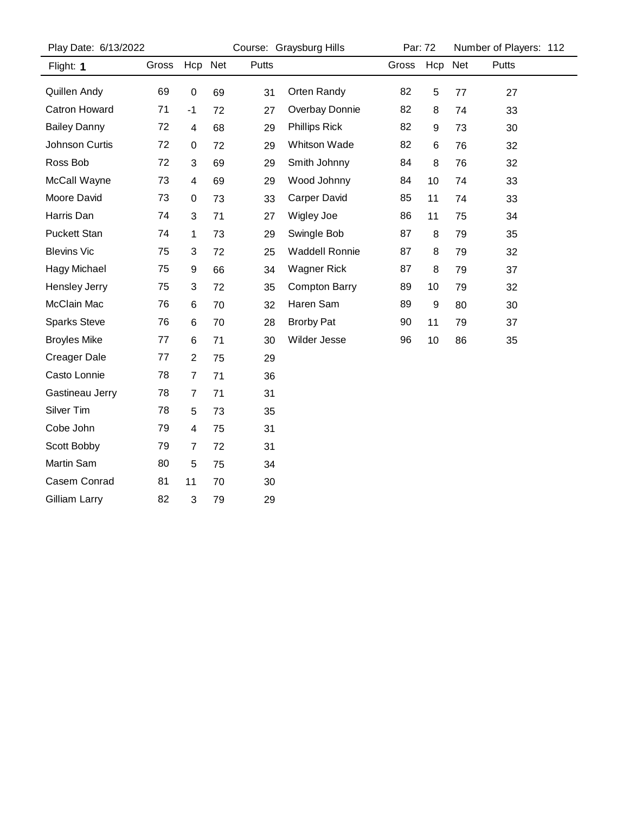| Play Date: 6/13/2022 |       |                         |         |       | Course: Graysburg Hills |       | Par: 72          |     | Number of Players: 112 |  |  |
|----------------------|-------|-------------------------|---------|-------|-------------------------|-------|------------------|-----|------------------------|--|--|
| Flight: 1            | Gross |                         | Hcp Net | Putts |                         | Gross | Hcp              | Net | Putts                  |  |  |
| Quillen Andy         | 69    | $\pmb{0}$               | 69      | 31    | Orten Randy             | 82    | 5                | 77  | 27                     |  |  |
| <b>Catron Howard</b> | 71    | $-1$                    | 72      | 27    | Overbay Donnie          | 82    | 8                | 74  | 33                     |  |  |
| <b>Bailey Danny</b>  | 72    | $\overline{\mathbf{4}}$ | 68      | 29    | <b>Phillips Rick</b>    | 82    | $\boldsymbol{9}$ | 73  | 30                     |  |  |
| Johnson Curtis       | 72    | $\pmb{0}$               | 72      | 29    | Whitson Wade            | 82    | 6                | 76  | 32                     |  |  |
| Ross Bob             | 72    | 3                       | 69      | 29    | Smith Johnny            | 84    | 8                | 76  | 32                     |  |  |
| McCall Wayne         | 73    | 4                       | 69      | 29    | Wood Johnny             | 84    | 10               | 74  | 33                     |  |  |
| Moore David          | 73    | 0                       | 73      | 33    | <b>Carper David</b>     | 85    | 11               | 74  | 33                     |  |  |
| Harris Dan           | 74    | 3                       | 71      | 27    | Wigley Joe              | 86    | 11               | 75  | 34                     |  |  |
| <b>Puckett Stan</b>  | 74    | 1                       | 73      | 29    | Swingle Bob             | 87    | 8                | 79  | 35                     |  |  |
| <b>Blevins Vic</b>   | 75    | 3                       | 72      | 25    | <b>Waddell Ronnie</b>   | 87    | 8                | 79  | 32                     |  |  |
| Hagy Michael         | 75    | 9                       | 66      | 34    | <b>Wagner Rick</b>      | 87    | 8                | 79  | 37                     |  |  |
| Hensley Jerry        | 75    | 3                       | 72      | 35    | <b>Compton Barry</b>    | 89    | 10               | 79  | 32                     |  |  |
| McClain Mac          | 76    | 6                       | 70      | 32    | Haren Sam               | 89    | 9                | 80  | 30                     |  |  |
| <b>Sparks Steve</b>  | 76    | 6                       | 70      | 28    | <b>Brorby Pat</b>       | 90    | 11               | 79  | 37                     |  |  |
| <b>Broyles Mike</b>  | 77    | 6                       | 71      | 30    | Wilder Jesse            | 96    | 10               | 86  | 35                     |  |  |
| <b>Creager Dale</b>  | 77    | $\overline{2}$          | 75      | 29    |                         |       |                  |     |                        |  |  |
| Casto Lonnie         | 78    | $\overline{7}$          | 71      | 36    |                         |       |                  |     |                        |  |  |
| Gastineau Jerry      | 78    | $\overline{7}$          | 71      | 31    |                         |       |                  |     |                        |  |  |
| Silver Tim           | 78    | 5                       | 73      | 35    |                         |       |                  |     |                        |  |  |
| Cobe John            | 79    | 4                       | 75      | 31    |                         |       |                  |     |                        |  |  |
| Scott Bobby          | 79    | $\overline{7}$          | 72      | 31    |                         |       |                  |     |                        |  |  |
| Martin Sam           | 80    | 5                       | 75      | 34    |                         |       |                  |     |                        |  |  |
| Casem Conrad         | 81    | 11                      | 70      | 30    |                         |       |                  |     |                        |  |  |
| Gilliam Larry        | 82    | 3                       | 79      | 29    |                         |       |                  |     |                        |  |  |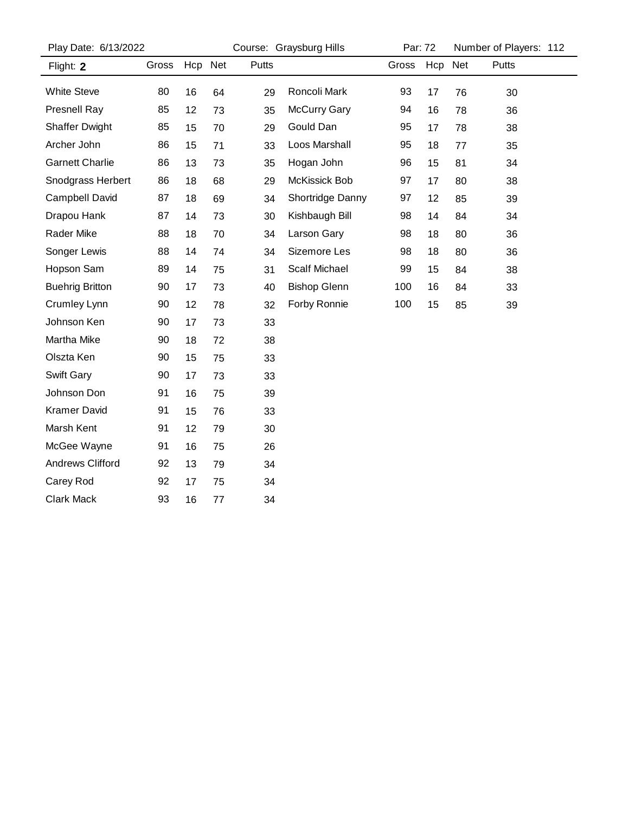| Play Date: 6/13/2022    |       |         |    | Course: Graysburg Hills | Par: 72              |       | Number of Players: 112 |    |       |  |
|-------------------------|-------|---------|----|-------------------------|----------------------|-------|------------------------|----|-------|--|
| Flight: 2               | Gross | Hcp Net |    | Putts                   |                      | Gross | Hcp Net                |    | Putts |  |
| <b>White Steve</b>      | 80    | 16      | 64 | 29                      | Roncoli Mark         | 93    | 17                     | 76 | 30    |  |
| <b>Presnell Ray</b>     | 85    | 12      | 73 | 35                      | <b>McCurry Gary</b>  | 94    | 16                     | 78 | 36    |  |
| <b>Shaffer Dwight</b>   | 85    | 15      | 70 | 29                      | Gould Dan            | 95    | 17                     | 78 | 38    |  |
| Archer John             | 86    | 15      | 71 | 33                      | Loos Marshall        | 95    | 18                     | 77 | 35    |  |
| <b>Garnett Charlie</b>  | 86    | 13      | 73 | 35                      | Hogan John           | 96    | 15                     | 81 | 34    |  |
| Snodgrass Herbert       | 86    | 18      | 68 | 29                      | McKissick Bob        | 97    | 17                     | 80 | 38    |  |
| Campbell David          | 87    | 18      | 69 | 34                      | Shortridge Danny     | 97    | 12                     | 85 | 39    |  |
| Drapou Hank             | 87    | 14      | 73 | 30                      | Kishbaugh Bill       | 98    | 14                     | 84 | 34    |  |
| Rader Mike              | 88    | 18      | 70 | 34                      | Larson Gary          | 98    | 18                     | 80 | 36    |  |
| Songer Lewis            | 88    | 14      | 74 | 34                      | Sizemore Les         | 98    | 18                     | 80 | 36    |  |
| Hopson Sam              | 89    | 14      | 75 | 31                      | <b>Scalf Michael</b> | 99    | 15                     | 84 | 38    |  |
| <b>Buehrig Britton</b>  | 90    | 17      | 73 | 40                      | <b>Bishop Glenn</b>  | 100   | 16                     | 84 | 33    |  |
| Crumley Lynn            | 90    | 12      | 78 | 32                      | Forby Ronnie         | 100   | 15                     | 85 | 39    |  |
| Johnson Ken             | 90    | 17      | 73 | 33                      |                      |       |                        |    |       |  |
| Martha Mike             | 90    | 18      | 72 | 38                      |                      |       |                        |    |       |  |
| Olszta Ken              | 90    | 15      | 75 | 33                      |                      |       |                        |    |       |  |
| Swift Gary              | 90    | 17      | 73 | 33                      |                      |       |                        |    |       |  |
| Johnson Don             | 91    | 16      | 75 | 39                      |                      |       |                        |    |       |  |
| <b>Kramer David</b>     | 91    | 15      | 76 | 33                      |                      |       |                        |    |       |  |
| Marsh Kent              | 91    | 12      | 79 | 30                      |                      |       |                        |    |       |  |
| McGee Wayne             | 91    | 16      | 75 | 26                      |                      |       |                        |    |       |  |
| <b>Andrews Clifford</b> | 92    | 13      | 79 | 34                      |                      |       |                        |    |       |  |
| Carey Rod               | 92    | 17      | 75 | 34                      |                      |       |                        |    |       |  |
| <b>Clark Mack</b>       | 93    | 16      | 77 | 34                      |                      |       |                        |    |       |  |